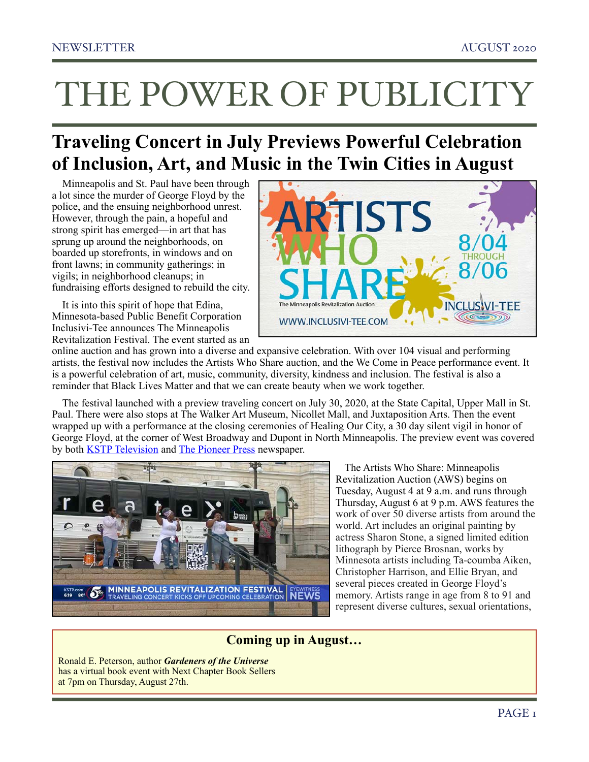# THE POWER OF PUBLICITY

# **Traveling Concert in July Previews Powerful Celebration of Inclusion, Art, and Music in the Twin Cities in August**

Minneapolis and St. Paul have been through a lot since the murder of George Floyd by the police, and the ensuing neighborhood unrest. However, through the pain, a hopeful and strong spirit has emerged—in art that has sprung up around the neighborhoods, on boarded up storefronts, in windows and on front lawns; in community gatherings; in vigils; in neighborhood cleanups; in fundraising efforts designed to rebuild the city.

It is into this spirit of hope that Edina, Minnesota-based Public Benefit Corporation Inclusivi-Tee announces The Minneapolis Revitalization Festival. The event started as an



online auction and has grown into a diverse and expansive celebration. With over 104 visual and performing artists, the festival now includes the Artists Who Share auction, and the We Come in Peace performance event. It is a powerful celebration of art, music, community, diversity, kindness and inclusion. The festival is also a reminder that Black Lives Matter and that we can create beauty when we work together.

The festival launched with a preview traveling concert on July 30, 2020, at the State Capital, Upper Mall in St. Paul. There were also stops at The Walker Art Museum, Nicollet Mall, and Juxtaposition Arts. Then the event wrapped up with a performance at the closing ceremonies of Healing Our City, a 30 day silent vigil in honor of George Floyd, at the corner of West Broadway and Dupont in North Minneapolis. The preview event was covered by both [KSTP Television](https://youtu.be/hNKxqcvXJw0) and [The Pioneer Press](https://www.twincities.com/2020/07/29/new-traveling-music-festival-kicks-off-thursday-at-the-state-capitol/) newspaper.



 The Artists Who Share: Minneapolis Revitalization Auction (AWS) begins on Tuesday, August 4 at 9 a.m. and runs through Thursday, August 6 at 9 p.m. AWS features the work of over 50 diverse artists from around the world. Art includes an original painting by actress Sharon Stone, a signed limited edition lithograph by Pierce Brosnan, works by Minnesota artists including Ta-coumba Aiken, Christopher Harrison, and Ellie Bryan, and several pieces created in George Floyd's memory. Artists range in age from 8 to 91 and represent diverse cultures, sexual orientations,

## **Coming up in August…**

Ronald E. Peterson, author *Gardeners of the Universe* has a virtual book event with Next Chapter Book Sellers at 7pm on Thursday, August 27th.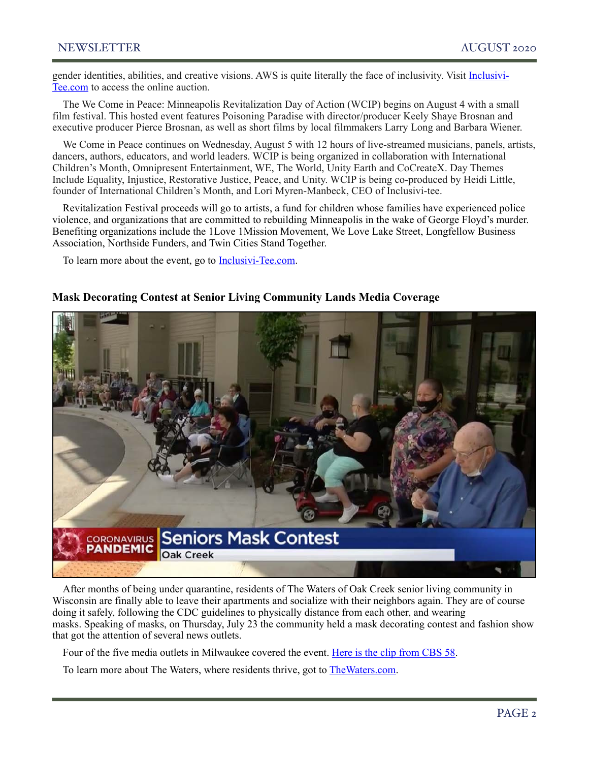gender identities, abilities, and creative visions. AWS is quite literally the face of inclusivity. Visit [Inclusivi-](https://inclusivi-tee.com)[Tee.com](https://inclusivi-tee.com) to access the online auction.

The We Come in Peace: Minneapolis Revitalization Day of Action (WCIP) begins on August 4 with a small film festival. This hosted event features Poisoning Paradise with director/producer Keely Shaye Brosnan and executive producer Pierce Brosnan, as well as short films by local filmmakers Larry Long and Barbara Wiener.

We Come in Peace continues on Wednesday, August 5 with 12 hours of live-streamed musicians, panels, artists, dancers, authors, educators, and world leaders. WCIP is being organized in collaboration with International Children's Month, Omnipresent Entertainment, WE, The World, Unity Earth and CoCreateX. Day Themes Include Equality, Injustice, Restorative Justice, Peace, and Unity. WCIP is being co-produced by Heidi Little, founder of International Children's Month, and Lori Myren-Manbeck, CEO of Inclusivi-tee.

Revitalization Festival proceeds will go to artists, a fund for children whose families have experienced police violence, and organizations that are committed to rebuilding Minneapolis in the wake of George Floyd's murder. Benefiting organizations include the 1Love 1Mission Movement, We Love Lake Street, Longfellow Business Association, Northside Funders, and Twin Cities Stand Together.

To learn more about the event, go to [Inclusivi-Tee.com.](http://www.inclusivi-tee.com/)



#### **Mask Decorating Contest at Senior Living Community Lands Media Coverage**

After months of being under quarantine, residents of The Waters of Oak Creek senior living community in Wisconsin are finally able to leave their apartments and socialize with their neighbors again. They are of course doing it safely, following the CDC guidelines to physically distance from each other, and wearing masks. Speaking of masks, on Thursday, July 23 the community held a mask decorating contest and fashion show that got the attention of several news outlets.

Four of the five media outlets in Milwaukee covered the event. [Here is the clip from CBS 58](https://www.cbs58.com/news/oak-creek-senior-living-facility-hosts-mask-contest-fashion-show-for-residents).

To learn more about The Waters, where residents thrive, got to [TheWaters.com.](http://www.thewaters.com)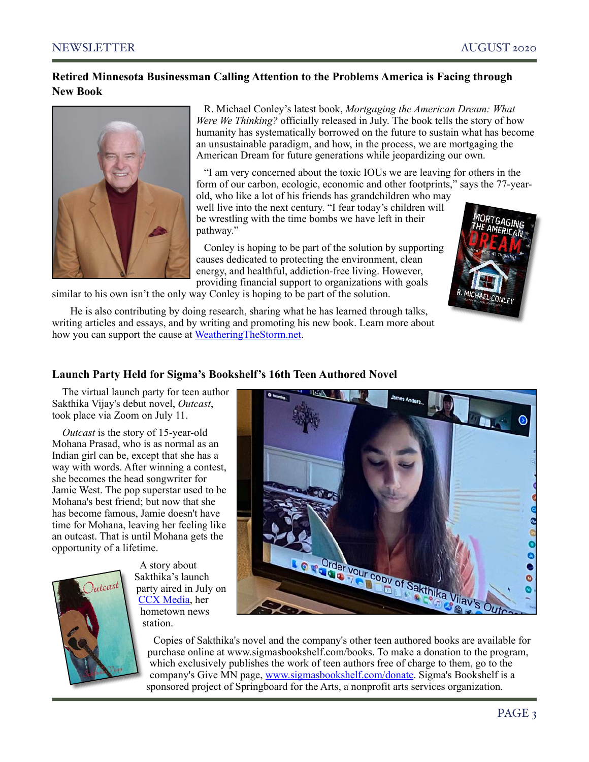#### **Retired Minnesota Businessman Calling Attention to the Problems America is Facing through New Book**



R. Michael Conley's latest book, *Mortgaging the American Dream: What Were We Thinking?* officially released in July. The book tells the story of how humanity has systematically borrowed on the future to sustain what has become an unsustainable paradigm, and how, in the process, we are mortgaging the American Dream for future generations while jeopardizing our own.

 "I am very concerned about the toxic IOUs we are leaving for others in the form of our carbon, ecologic, economic and other footprints," says the 77-yearold, who like a lot of his friends has grandchildren who may

well live into the next century. "I fear today's children will be wrestling with the time bombs we have left in their pathway."

 Conley is hoping to be part of the solution by supporting causes dedicated to protecting the environment, clean energy, and healthful, addiction-free living. However, providing financial support to organizations with goals



similar to his own isn't the only way Conley is hoping to be part of the solution.

 He is also contributing by doing research, sharing what he has learned through talks, writing articles and essays, and by writing and promoting his new book. Learn more about how you can support the cause at [WeatheringTheStorm.net](http://www.weatheringthestorm.net).

#### **Launch Party Held for Sigma's Bookshelf's 16th Teen Authored Novel**

The virtual launch party for teen author Sakthika Vijay's debut novel, *Outcast*, took place via Zoom on July 11.

*Outcast* is the story of 15-year-old Mohana Prasad, who is as normal as an Indian girl can be, except that she has a way with words. After winning a contest, she becomes the head songwriter for Jamie West. The pop superstar used to be Mohana's best friend; but now that she has become famous, Jamie doesn't have time for Mohana, leaving her feeling like an outcast. That is until Mohana gets the opportunity of a lifetime.



 A story about Sakthika's launch party aired in July on [CCX Media](https://ccxmedia.org/news/plymouth-teen-author-publishes-book), her hometown news station.



 Copies of Sakthika's novel and the company's other teen authored books are available for purchase online at [www.sigmasbookshelf.com/books](https://l.facebook.com/l.php?u=http://www.sigmasbookshelf.com/books?fbclid=IwAR3SC2UXNaDr3p78PMah7BboSFgHnHV7DuO3hiL56YzkhqErQAG05uf4tN4&h=AT3TWQS5nYUmvyok7nUd8Ta_xR1uIu3kZKZ2MPdAi_okhm5Ma-UGEbErUkNKrT7qcsseVOIoNM74fcqiAdHtjgjIjUpo). To make a donation to the program, which exclusively publishes the work of teen authors free of charge to them, go to the company's Give MN page, [www.sigmasbookshelf.com/donate.](https://l.facebook.com/l.php?u=h) Sigma's Bookshelf is a sponsored project of Springboard for the Arts, a nonprofit arts services organization.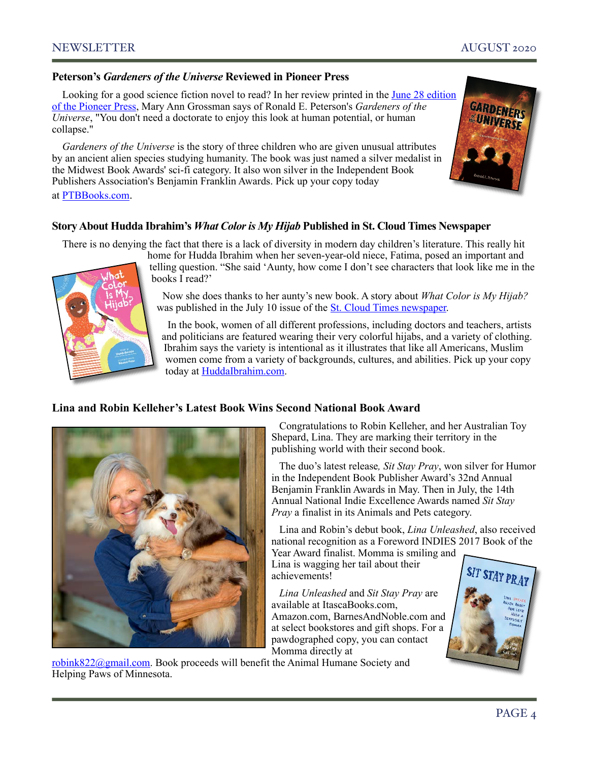#### **Peterson's** *Gardeners of the Universe* **Reviewed in Pioneer Press**

Looking for a good science fiction novel to read? In her review printed in the June 28 edition [of the Pioneer Press,](https://www.twincities.com/2020/06/27/readers-and-writers-some-sci-fi-a-thriller-a-memoir-of-a-murder-and-fantasy-for-your-summer-reading) Mary Ann Grossman says of Ronald E. Peterson's *Gardeners of the Universe*, "You don't need a doctorate to enjoy this look at human potential, or human collapse."

*Gardeners of the Universe* is the story of three children who are given unusual attributes by an ancient alien species studying humanity. The book was just named a silver medalist in the Midwest Book Awards' sci-fi category. It also won silver in the Independent Book Publishers Association's Benjamin Franklin Awards. Pick up your copy today



#### at [PTBBooks.com.](https://ptbbooks.com/)

#### **Story About Hudda Ibrahim's** *What Color is My Hijab* **Published in St. Cloud Times Newspaper**

There is no denying the fact that there is a lack of diversity in modern day children's literature. This really hit



home for Hudda Ibrahim when her seven-year-old niece, Fatima, posed an important and telling question. "She said 'Aunty, how come I don't see characters that look like me in the books I read?'

 Now she does thanks to her aunty's new book. A story about *What Color is My Hijab?*  was published in the July 10 issue of the [St. Cloud Times newspaper.](https://www.sctimes.com/story/news/2020/07/10/hudda-ibrahim-childrens-book-what-color-hijab-muslim-girls-everyone-diversity/3243341001)

 In the book, women of all different professions, including doctors and teachers, artists and politicians are featured wearing their very colorful hijabs, and a variety of clothing. Ibrahim says the variety is intentional as it illustrates that like all Americans, Muslim women come from a variety of backgrounds, cultures, and abilities. Pick up your copy today at [HuddaIbrahim.com.](https://huddaibrahim.com)

#### **Lina and Robin Kelleher's Latest Book Wins Second National Book Award**



 Congratulations to Robin Kelleher, and her Australian Toy Shepard, Lina. They are marking their territory in the publishing world with their second book.

 The duo's latest release*, Sit Stay Pray*, won silver for Humor in the Independent Book Publisher Award's 32nd Annual Benjamin Franklin Awards in May. Then in July, the 14th Annual National Indie Excellence Awards named *Sit Stay Pray* a finalist in its Animals and Pets category.

 Lina and Robin's debut book, *Lina Unleashed*, also received national recognition as a Foreword INDIES 2017 Book of the Year Award finalist. Momma is smiling and

Lina is wagging her tail about their achievements!

 *Lina Unleashed* and *Sit Stay Pray* are available at ItascaBooks.com, Amazon.com, BarnesAndNoble.com and at select bookstores and gift shops. For a pawdographed copy, you can contact Momma directly at



[robink822@gmail.com](mailto:robink822@gmail.com). Book proceeds will benefit the Animal Humane Society and Helping Paws of Minnesota.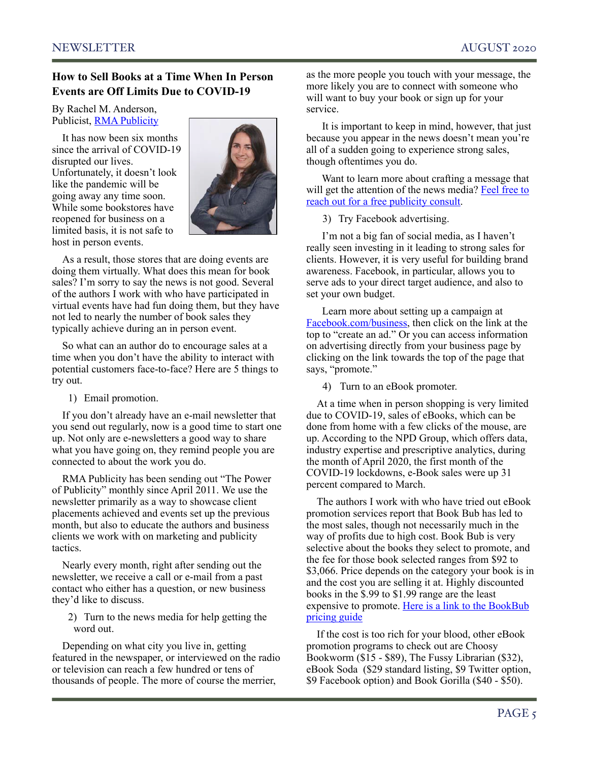#### **How to Sell Books at a Time When In Person Events are Off Limits Due to COVID-19**

By Rachel M. Anderson, Publicist, [RMA Publicity](http://www.rmapublicity.com)

It has now been six months since the arrival of COVID-19 disrupted our lives. Unfortunately, it doesn't look like the pandemic will be going away any time soon. While some bookstores have reopened for business on a limited basis, it is not safe to host in person events.



As a result, those stores that are doing events are doing them virtually. What does this mean for book sales? I'm sorry to say the news is not good. Several of the authors I work with who have participated in virtual events have had fun doing them, but they have not led to nearly the number of book sales they typically achieve during an in person event.

So what can an author do to encourage sales at a time when you don't have the ability to interact with potential customers face-to-face? Here are 5 things to try out.

1) Email promotion.

If you don't already have an e-mail newsletter that you send out regularly, now is a good time to start one up. Not only are e-newsletters a good way to share what you have going on, they remind people you are connected to about the work you do.

RMA Publicity has been sending out "The Power of Publicity" monthly since April 2011. We use the newsletter primarily as a way to showcase client placements achieved and events set up the previous month, but also to educate the authors and business clients we work with on marketing and publicity tactics.

Nearly every month, right after sending out the newsletter, we receive a call or e-mail from a past contact who either has a question, or new business they'd like to discuss.

2) Turn to the news media for help getting the word out.

Depending on what city you live in, getting featured in the newspaper, or interviewed on the radio or television can reach a few hundred or tens of thousands of people. The more of course the merrier,

as the more people you touch with your message, the more likely you are to connect with someone who will want to buy your book or sign up for your service.

 It is important to keep in mind, however, that just because you appear in the news doesn't mean you're all of a sudden going to experience strong sales, though oftentimes you do.

 Want to learn more about crafting a message that will get the attention of the news media? Feel free to [reach out for a free publicity consult.](mailto:rachel@rmapublicity.com?subject=August%20newsletter%20article%20inquiry)

3) Try Facebook advertising.

 I'm not a big fan of social media, as I haven't really seen investing in it leading to strong sales for clients. However, it is very useful for building brand awareness. Facebook, in particular, allows you to serve ads to your direct target audience, and also to set your own budget.

 Learn more about setting up a campaign at [Facebook.com/business](https://www.facebook.com/business), then click on the link at the top to "create an ad." Or you can access information on advertising directly from your business page by clicking on the link towards the top of the page that says, "promote."

4) Turn to an eBook promoter.

At a time when in person shopping is very limited due to COVID-19, sales of eBooks, which can be done from home with a few clicks of the mouse, are up. According to the NPD Group, which offers data, industry expertise and prescriptive analytics, during the month of April 2020, the first month of the COVID-19 lockdowns, e-Book sales were up 31 percent compared to March.

The authors I work with who have tried out eBook promotion services report that Book Bub has led to the most sales, though not necessarily much in the way of profits due to high cost. Book Bub is very selective about the books they select to promote, and the fee for those book selected ranges from \$92 to \$3,066. Price depends on the category your book is in and the cost you are selling it at. Highly discounted books in the \$.99 to \$1.99 range are the least expensive to promote. [Here is a link to the BookBub](https://www.bookbub.com/partners/pricing)  [pricing guide](https://www.bookbub.com/partners/pricing)

If the cost is too rich for your blood, other eBook promotion programs to check out are Choosy Bookworm (\$15 - \$89), The Fussy Librarian (\$32), eBook Soda (\$29 standard listing, \$9 Twitter option, \$9 Facebook option) and Book Gorilla (\$40 - \$50).